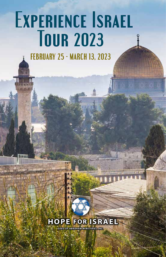# E**XPERIENCE** I**SRAEL** T**OUR 2023**

**FEBRUARY 25 - MARCH 13, 2023**

unn

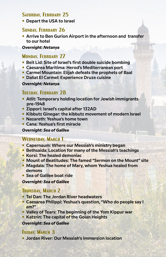## **Saturday, February 25**

 **Depart the USA to Israel**

#### SUNDAY, **FEBRUARY 26**

 **Arrive to Ben Gurion Airport in the afternoon and transfer to our hotel**

#### *Overnight: Netanya*

## **MONDAY FEBRUARY 27**

- **Beit Lid: Site of Israel's first double suicide bombing**
- **Caesarea Maritima: Herod's Mediterranean port**
- **Carmel Mountain: Elijah defeats the prophets of Baal**
- **Daliat El Carmel: Experience Druze cuisine**

#### *Overnight: Netanya*

## **Tuesday, February 28**

- **Atlit: Temporary holding location for Jewish immigrants pre-1948**
- **Zippori: Israel's capital after 132AD**
- **Kibbutz Ginegar: the kibbutz movement of modern Israel**
- **Nazareth: Yeshua's home town**
- **Cana: Yeshua's first miracle**

#### *Overnight: Sea of Galilee*

#### **Wednesday, March 1**

- **Capernaum: Where our Messiah's ministry began**
- **Bethsaida: Location for many of the Messiah's teachings**
- **Korsi: The healed demoniac.**
- **Mount of Beatitudes: The famed "Sermon on the Mount" site**

**Thinkin** 

- **Magdala: The home of Mary, whom Yeshua healed from demons**
- **Sea of Galilee boat ride**

#### *Overnight: Sea of Galilee*

## **Thursday, March 2**

- **Tel Dan: The Jordan River headwaters**
- **Caesarea Philippi: Yeshua's question, "Who do people say I am?"**
- **Valley of Tears: The beginning of the Yom Kippur war**
- **Katzrin: The capital of the Golan Heights**

#### *Overnight: Sea of Galilee*

## **Friday, March 3**

 **Jordan River: Our Messiah's immersion location**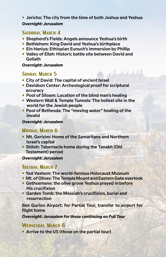## **Jericho: The city from the time of both Joshua and Yeshua** *Overnight: Jerusalem*

## Saturday, March 4

- **Shepherd's Fields: Angels announce Yeshua's birth**
- **Bethlehem: King David and Yeshua's birthplace**
- **Ein Haniya: Ethiopian Eunuch's immersion by Phillip**
- **Valley of Ellah: Historic battle site between David and Goliath**

#### *Overnight: Jerusalem*

## **Sunday, March 5**

- **City of David: The capital of ancient Israel**
- **Davidson Center: Archeological proof for scriptural accuracy**
- **Pool of Siloam: Location of the blind man's healing**
- **Western Wall & Temple Tunnels: The holiest site in the world for the Jewish people**
- **Pool of Bethesda: The "moving water" healing of the invalid**

#### *Overnight: Jerusalem*

## **Monday, March 6**

- **Mt. Gerizim: Home of the Samaritans and Northern Israel's capital**
- **Shiloh: Tabernacle home during the Tanakh (Old Testament) period**

#### *Overnight: Jerusalem*

## **TUESDAY, MARCH 7**

- **Yad Vashem: The world-famous Holocaust Museum**
- **Mt. of Olives: The Temple Mount and Eastern Gate overlook**
- **Gethsemane: the olive grove Yeshua prayed in before His crucifixion**
- **Garden Tomb: the Messiah's crucifixion, burial and resurrection**

**Ben Gurion Airport: for Partial Tour, transfer to airport for flight home**

*Overnight: Jerusalem for those continuing on Full Tour*

## **Wednesday, March 8**

**• Arrive to the US (those on the partial tour)**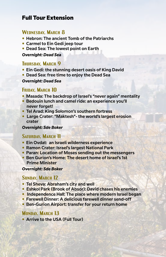# **Full Tour Extension**

## **Wednesday, March 8**

- **Hebron: The ancient Tomb of the Patriarchs**
- **Carmel to Ein Gedi jeep tour**
- **Dead Sea: The lowest point on Earth**

#### *Overnight: Dead Sea*

## **Thursday, March 9**

- **Ein Gedi: the stunning desert oasis of King David**
- **Dead Sea: free time to enjoy the Dead Sea**

#### *Overnight: Dead Sea*

## FRIDAY, MARCH 10

- **Masada: The backdrop of Israel's "never again" mentality**
- **Bedouin lunch and camel ride: an experience you'll never forget!**
- **Tel Arad: King Solomon's southern fortress**
- **Large Crater: "Maktesh"- the world's largest erosion crater**

#### *Overnight: Sde Boker*

## SATURDAY, MARCH 11

- **Ein Ovdat: an Israeli wilderness experience**
- **Ramon Crater: Israel's largest National Park**
- **Paran: Location of Moses sending out the messengers**
- **Ben Gurion's Home: The desert home of Israel's 1st Prime Minister**

#### *Overnight: Sde Boker*

## **Sunday, March 12**

- **Tel Sheva: Abraham's city and well**
- **Eshkol Park (Brook of Absor): David chases his enemies**
- **Independence Hall: The place where modern Israel began**
- **Farewell Dinner: A delicious farewell dinner send-off**
- **Ben-Gurion Airport: transfer for your return home**

## **Monday, March 13**

**• Arrive to the USA (Full Tour)**